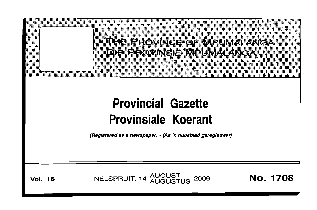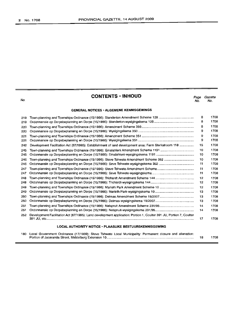# **CONTENTS • INHOUD**

*Page Gazette* No. No.

## **GENERAL NOTICES' ALGEMENE KENNISGEWINGS**

| 219 |                                                                                                                     | 8  | 1708 |
|-----|---------------------------------------------------------------------------------------------------------------------|----|------|
| 219 |                                                                                                                     | 8  | 1708 |
| 220 |                                                                                                                     |    | 1708 |
| 220 |                                                                                                                     | 9  | 1708 |
| 221 |                                                                                                                     | 9  | 1708 |
| 221 |                                                                                                                     | 9  | 1708 |
| 242 | Development Facilitation Act (67/1995): Establishment of land development area: Farm Sterkstroom 118                | 15 | 1708 |
| 245 |                                                                                                                     | 10 | 1708 |
| 245 |                                                                                                                     | 10 | 1708 |
| 246 | Town-planning and Townships Ordinance (15/1986): Steve Tshwete Amendment Scheme 352                                 | 10 | 1708 |
| 246 |                                                                                                                     | 11 | 1708 |
| 247 |                                                                                                                     | 11 | 1708 |
| 247 |                                                                                                                     | 11 | 1708 |
| 248 |                                                                                                                     | 12 | 1708 |
| 248 |                                                                                                                     | 12 | 1708 |
| 249 |                                                                                                                     | 12 | 1708 |
| 249 |                                                                                                                     | 13 | 1708 |
| 250 |                                                                                                                     | 13 | 1708 |
| 250 |                                                                                                                     | 13 | 1708 |
| 251 |                                                                                                                     | 14 | 1708 |
| 251 |                                                                                                                     | 14 | 1708 |
| 252 | Development Facilitation Act (67/1995): Land development application: Portion 1, Coulter 391 JU, Portion 7, Coulter | 17 | 1708 |
|     | LOOM AUTUORITY NOTICE. BLAACUVE BEGTUURCVEMMOOFMING                                                                 |    |      |

# **LOCAL AUTHORITY NOTICE· PLAASLIKE BESTUURSKENNISGEWING**

| 180 Local Government Ordinance (17/1939): Steve Tshwete Local Municipality: Permanent closure and alienation: |      |
|---------------------------------------------------------------------------------------------------------------|------|
|                                                                                                               | 1708 |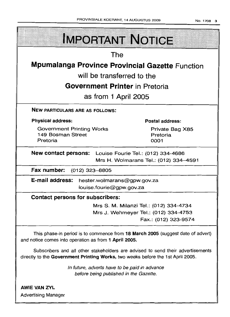| <b>IMPORTANT NOTICE</b>                                                                                                                                            |  |  |  |  |  |
|--------------------------------------------------------------------------------------------------------------------------------------------------------------------|--|--|--|--|--|
| The                                                                                                                                                                |  |  |  |  |  |
| <b>Mpumalanga Province Provincial Gazette Function</b>                                                                                                             |  |  |  |  |  |
| will be transferred to the                                                                                                                                         |  |  |  |  |  |
| <b>Government Printer in Pretoria</b>                                                                                                                              |  |  |  |  |  |
| as from 1 April 2005                                                                                                                                               |  |  |  |  |  |
| <b>NEW PARTICULARS ARE AS FOLLOWS:</b>                                                                                                                             |  |  |  |  |  |
| <b>Physical address:</b><br><b>Postal address:</b>                                                                                                                 |  |  |  |  |  |
| <b>Government Printing Works</b><br>Private Bag X85<br>149 Bosman Street<br>Pretoria<br>Pretoria<br>0001                                                           |  |  |  |  |  |
| <b>New contact persons:</b> Louise Fourie Tel.: (012) 334-4686<br>Mrs H. Wolmarans Tel.: (012) 334-4591                                                            |  |  |  |  |  |
| Fax number: (012) 323-8805                                                                                                                                         |  |  |  |  |  |
| E-mail address: hester.wolmarans@gpw.gov.za<br>louise.fourie@gpw.gov.za                                                                                            |  |  |  |  |  |
| <b>Contact persons for subscribers:</b>                                                                                                                            |  |  |  |  |  |
| Mrs S. M. Milanzi Tel.: (012) 334-4734                                                                                                                             |  |  |  |  |  |
| Mrs J. Wehmeyer Tel.: (012) 334-4753<br>Fax.: (012) 323-9574                                                                                                       |  |  |  |  |  |
| This phase-in period is to commence from 18 March 2005 (suggest date of advert)<br>and notice cornes into operation as from 1 April 2005.                          |  |  |  |  |  |
| Subscribers and all other stakeholders are advised to send their advertisements<br>directly to the Government Printing Works, two weeks before the 1st April 2005. |  |  |  |  |  |
| In future, adverts have to be paid in advance<br>before being published in the Gazette.                                                                            |  |  |  |  |  |
| <b>AWIE VAN ZYL</b><br><b>Advertising Manager</b>                                                                                                                  |  |  |  |  |  |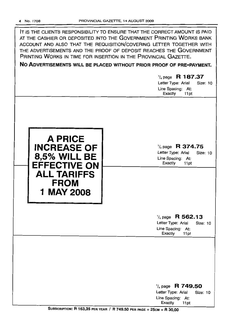IT IS THE CLIENTS RESPONSIBILITY TO ENSURE THAT THE CORRECT AMOUNT IS PAID AT THE CASHIER OR DEPOSITED INTO THE GOVERNMENT PRINTING WORKS BANK ACCOUNT AND ALSO THAT THE REQUISITION/COVERING LETTER TOGETHER WITH THE ADVERTISEMENTS AND THE PROOF OF DEPOSIT REACHES THE GOVERNMENT PRINTING WORKS IN TIME FOR INSERTION IN THE PROVINCIAL GAZETTE.

**No ADVERTISEMENTS WILL BE PLACED WITHOUT PRIOR PROOF OF PRE-PAYMENT.**

1/4 page **R 187.37** Letter Type: Arial Size: 10 Line Spacing: At: Exactly 11pt 1/4 page **R 374.75** Letter Type: Arial Size: 10 Line Spacing: At: Exactly 11pt **A PRICE INCREASE OF 8,5% WILL BE**<br> **EFFECTIVE ON**<br> **EFFECTIVE ON ALL TARIFFS FROM 1** MAY 2008 1/4 page **R 562.13** Letter Type: Arial Size: 10 Line Spacing: At: Exactly 11 pt 1/4 page R **749.50** Letter Type: Arial Size: 10 Line Spacing: At:

SUBSCRIPTION: R 163,35 PER YEAR / R 749.50 PER PAGE = 25cM = R 30,00

Exactly 11 pt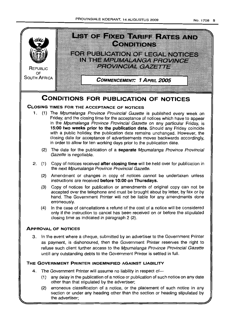

section or under any heading other than the section or heading stipulated by the advertiser;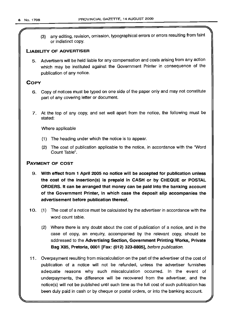(3) any editing, revision, omission, typographical errors or errors resulting from faint or indistinct copy.

## LIABILITY OF ADVERTISER

5. Advertisers will be held liable for any compensation and costs arising from any action which may be instituted against the Government Printer in consequence of the publication of any notice.

# **COPY**

- 6. Copy of notices must be typed on one side of the paper only and may not constitute part of any covering letter or document.
- 7. At the top of any copy, and set well apart from the notice, the following must be stated:

Where applicable

- (1) The heading under which the notice is to appear.
- (2) The cost of publication applicable to the notice, in accordance with the 'Word Count Table".

## PAYMENT OF COST

- 9. With effect from 1 April 2005 no notice will be accepted for publication unless the cost of the insertion(s) is prepaid in CASH or by CHEQUE or POSTAL ORDERS. It can be arranged that money can be paid into the banking account of the Government Printer, in which case the deposit slip accompanies the advertisement before publication thereof.
- 10. (1) The cost of a notice must be calculated by the advertiser in accordance with the word count table.
	- (2) Where there is any doubt about the cost of publication of a notice, and in the case of copy, an enquiry, accompanied by the relevant copy, should be addressed to the Advertising Section, Government Printing Works, Private Bag X85, Pretoria, 0001 [Fax: (012) 323-8805], before publication.
- 11. Overpayment resulting from miscalculation on the part of the advertiser of the cost of publication of a notice will not be refunded, unless the advertiser furnishes adequate reasons why such miscalculation occurred. In the event of underpayments, the difference will be recovered from the advertiser, and the notice(s) will not be published until such time as the full cost of such publication has been duly paid in cash or by cheque or postal orders, or into the banking account.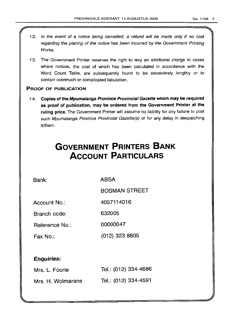- 12. In the event of a notice being cancelled, a refund will be made only if no cost regarding the placing of the notice has been incurred by the Government Printing Works.
- 13. The Government Printer reserves the right to levy an additional charge in cases where notices, the cost of which has been calculated in accordance with the Word Count Table, are subsequently found to be excessively lengthy or to contain overmuch or complicated tabulation.

## PROOF OF PUBLICATION

r

14. Copies of the Mpumalanga Province Provincial Gazette which may be required as proof of publication, may be ordered from the Government Printer at the ruling price. The Government Printer will assume no liability for any failure to post such Mpumalanga Province Provincial Gazette(s) or for any delay in despatching it/them.

# **GOVERNMENT PRINTERS BANK ACCOUNT PARTICULARS**

Bank: ABSA

BOSMAN STREET

Account No.: 4057114016

Branch code: 632005

Reference No.: 00000047

Fax No.: (012) 323 8805

# Enquiries:

| Mrs. L. Fourie    | Tel.: (012) 334-4686 |
|-------------------|----------------------|
| Mrs. H. Wolmarans | Tel.: (012) 334-4591 |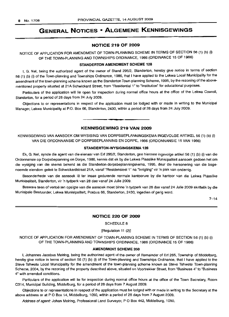# GENERAL NOTICES • ALGEMENE KENNISGEWINGS

## NOTICE 219 OF 2009

NOTICE OF APPLICATION FOR AMENDMENT OF TOWN-PLANNING SCHEME IN TERMS OF SECTION 56 (1) (b) (i) OF THE TOWN-PLANNING AND TOWNSHIPS ORDINANCE, 1986 (ORDINANCE 15 OF 1986)

## STANDERTON AMENDMENT SCHEME 128

I, G. Nel, being the authorized agent of the owner of Stand 295/2, Standerton, hereby give notice in terms of section 56 (1) (b) (i) of the Town-planning and Townships Ordinance, 1986, that I have applied to the Lekwa Local Municipality for the amendment of the town-planning scheme known as the Standerton Town-planning Scheme, 1995, by the rezoning of the abovementioned property situated at 21A Schwickard Street, from "Residential 1" to "Institution" for educational purposes.

Particulars of the application will lie open for inspection during normal office hours at the office of the Lekwa Council, Standerton, for a period of 28 days from 24 July 2009.

Objections to or representations in respect of the application must be lodged with or made in writing to the Municipal Manager, Lekwa Municipality at P.O. Box 66, Standerton, 2430, within a period of 28 days from 24 July 2009.

#### KENNISGEWING 219 VAN 2009

**• •**

KENNISGEWING VAN AANSOEK OM WYSIGING VAN DORPSBEPLANNINGSKEMA INGEVOLGE ARTIKEL 56 (1) (b) (i) VAN DIE ORDONNANSIE OP DORPSBEPLANNING EN DORPE, 1986 (ORDONNANSIE 15 VAN 1986)

#### STANDERTON-WYSIGINGSKEMA 128

Ek, G. Nel, synde die agent van die eienaar van Erf 295/2, Standerton, gee hiermee ingevolge artikel 56 (1) (b) (i) van die Ordonnansie op Dorpsbeplanning en Dorpe, 1986, kennis dat ek by die Lekwa Plaaslike Munisipaliteit aansoek gedoen het om die wysiging van die skema bekend as die Standerton-dorpsbeplanningskema, 1995, deur die hersonering van die bogenoemde eiendom gelee te Schwickardstraat 21A, vanaf "Residensieel 1" na "Inrigting" vir 'n plek van onderrig.

Besonderhede van die aansoek Iê ter insae gedurende normale kantoorure by die kantoor van die Lekwa Plaaslike Munisipaliteit, Standerton, vir 'n tydperk van 28 dae vanaf 24 Julie 2009.

Besware teen of vertoe ten opsigte van die aansoek moet binne 'n tydperk van 28 dae vanaf 24 Julie 2009 skriftelik by die Munisipale Bestuurder, Lekwa Munisipaliteit, Posbus 66, Standerton, 2430, ingedien of gerig word.

 $7 - 14$ 

## NOTICE 220 OF 2009

SCHEDULE 8

[Regulation 11 (2)]

NOTICE OF APPLICATION FOR AMENDMENT OF TOWN-PLANNING SCHEME IN TERMS OF SECTION 56 (1) (b) (i) OF THE TOWN-PLANNING AND TOWNSHIPS ORDINANCE, 1986 (ORDINANCE 15 OF 1986)

## AMENDMENT SCHEME 350

I, Johannes Jacobus Meiring, being the authorized agent of the owner of Remainder of Erf 265, Township of Middelburg, hereby give notice in terms of section 56 (1) (b) (i) of the Town-planning and Townships Ordinance, that I have applied to the Steve Tshwete Local Municipality for the amendment of the town-planning scheme known as Steve Tshwete Town-planning Scheme, 2004, by the rezoning of the property described above, situated on Voortrekker Street, from "Business 4" to "Business 4" with amended conditions.

Particulars of the application will lie for inspection during normal office hours at the office of the Town Secretary, Room C314, Municipal Building, Middelburg, for a period of 28 days from 7 August 2009.

Objections to or representations in respect of the application must be lodged with or made in writing to the Secretary at the above address or at PO Box 14, Middelburg, 1050, within a period of 28 days from 7 August 2009.

Address of agent: Johan Meiring, Professional Land Surveyor, P O Box 442, Middelburg, 1050.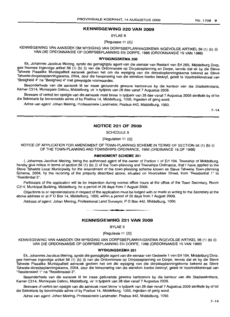## **KENNISGEWING 220 VAN 2009**

BYLAE 8

[Regulasie 11 (2»)

KENNISGEWING VAN AANSOEK OM WYSIGING VAN DORPSBEPLANNINGSKEMA INGEVOLGE ARTIKEL 56 (1) (b) (i) VAN DIE ORDONNANSIE OP DORPSBEPLANNING EN DORPE, 1986 (ORDONNANSIE 15 VAN 1986)

## **WYSIGINGSKEMA** 350

E.k, Johannes Jacobus Meiring, synde die gemagtigde agent van die eienaar van Restant van Erf 265, Middelburg Dorp, gee hierrnee ingevolge artikel 56 (1) (b) (i) van die Ordonnansie op Dorpsbeplanning en Dorpe, kennis dat ek by die Steve Tshwete Plaaslike Munisipaliteit aansoek gedoen het om die wysiging van die dorpsbeplanningskema bekend as Steve Tshwete-dorpsbeplanningskema, 2004, deur die hersonering van die eiendom hierbo beskryf, geleë te Voortrekkerstraat van "Besigheid 4" na "Besigheid 4" met gewysigde voorwaardes.

Besonderhede van die aansoek lê ter insae gedurende gewone kantoorure by die kantoor van die Stadsekretaris, Kamer C314, Munisipale Gebou, Middelburg, vir 'n tydperk van 28 dae vanaf 7 Augustus 2009.

Besware of vertoë ten opsigte van die aansoek moet binne 'n tydperk van 28 dae vanaf 7 Augustus 2009 skriftelik by of tot die Sekretaris by bovermelde adres of by Posbus 14, Middelburg, 1050, ingedien of gerig word.

Adres van agent: Johan Meiring, Professionele Landmeter, Posbus 442, Middelburg, 1050.

 $7 - 14$ 

## **NOTICE 221 OF 2009**

SCHEDULE 8

[Regulation 11 (2)]

NOTICE OF APPLICATION FOR AMENDMENT OF TOWN-PLANNING SCHEME IN TERMS OF SECTION 56 (1) (b) (i) OF THE TOWN-PLANNING AND TOWNSHIPS ORDINANCE, 1986 (ORDINANCE 15 OF 1986)

## **AMENDMENT SCHEME** 351

I, Johannes Jacobus Meiring, being the authorized agent of the owner of Portion 1 of Erf 104, Township of Middelburg, hereby give notice in terms of section 56 (1) (b) (i) of the Town-planning and Townships Ordinance, that I have applied to the Steve Tshwete Local Municipality for the amendment of the town-planning scheme known as Steve Tshwete Town-planning Scheme, 2004, by the rezoning of the property described above, situated on Voortrekker Street, from "Residential 1" to "Residential 2".

Particulars of the application will lie for inspection during normal office hours at the office of the Town Secretary, Room C314, Municipal Building, Middelburg, for a period of 28 days from 7 August 2009.

Objections to or representations in respect of the application must be lodged with or made in writing to the Secretary at the above address or at P O Box 14, Middelburg, 1050, within a period of 28 days from 7 August 2009.

Address of agent: Johan Meiring, Professional Land Surveyor, P O Box 442, Middelburg, 1050.

## **KENNISGEWING 221 VAN 2009**

**•**

BYLAE 8

[Regulasie 11 (2)]

KENNISGEWING VAN AANSOEK OM WYSIGING VAN DORPSBEPLANNINGSKEMA INGEVOLGE ARTIKEL 56 (1) (b) (i) VAN DIE ORDONNANSIE OP DORPSBEPLANNING EN DORPE, 1986 (ORDONNANSIE 15 VAN 1986)

#### **WYSIGINGSKEMA** 351

Ek, Johannes Jacobus Meiring, synde die gemagtigde agent van die eienaar van Gedeelte 1 van Erf 104, Middelburg Dorp, gee hiermee ingevolge artikel 56 (1) (b) (i) van die Ordonnansie op Dorpsbeplanning en Dorpe, kennis dat ek by die Steve Tshwete Plaaslike Munisipaliteit aansoek gedoen het om die wysiging van die dorpsbeplanningskema bekend as Steve Tshwete-dorpsbeplanningskema, 2004, deur die hersonering van die eiendom hierbo beskryf, gelee te Voortrekkerstraat van "ResidensieeI1" na "Residensieel 2".

Besonderhede van die aansoek lê ter insae gedurende gewone kantoorure by die kantoor van die Stadssekretaris, Kamer C314, Munisipale Gebou, Middelburg, vir 'n tydperk van 28 dae vanaf 7 Augustus 2009.

Besware of vertoë ten opsigte van die aansoek moet binne 'n tydperk van 28 dae vanaf 7 Augustus 2009 skriftelik by of tot die Sekretaris by bovermelde adres of by Posbus 14, Middelburg, 1050, ingedien of gerig word.

Adres van agent: Johan Meiring, Professionele Landmeter, Posbus 442, Middelburg, 1050.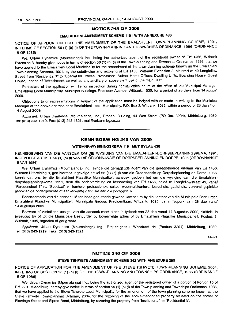#### NOTICE 245 OF 2009

## EMALAHLENI AMENDMENT SCHEME 1191 WITH ANNEXURE 436

NOTICE OF APPLICATION FOR THE AMENDMENT OF THE EMALAHLENI TOWN-PLANNING SCHEME, 1991, IN TERMS OF SECTION 56 (1) (b) (i) OF THE TOWN-PLANNING AND TOWNSHIPS ORDINANCE, 1986 (ORDINANCE 15 OF 1986)

We, Urban Dynamics (Mpumalanga) Inc., being the authorized agent of the registered owner of Erf 1456, Witbank Extension 8, hereby give notice in terms of section 56 (1) (b) (i) of the Town-planning and Townships Ordinance, 1986, that we have applied to the Emalahleni Local Municipality for the amendment of the town-planning scheme known as the Emalahleni Town-planning Scheme, 1991, by the subdivision and rezoning of Erf 1456, Witbank Extension 8, situated at 49 Longfellow Street, from "Residential 1" to "Special for Offices, Professional Suites, Home Offices, Dwelling Units, Boarding House, Guest House, Places of Refreshment, as well as any ancillary or subservient use of the main use".

Particulars of the application will lie for inspection during normal office hours at the office of the Municipal Manager, Emalahleni Local Municipality, Municipal Buildings, President Avenue, Witbank, 1035, for a period of 28 days from 14 August 2009.

Objections to or representations in respect of the application must be lodged with or made in writing to the Municipal Manager at the above address or at Emalahleni Local Municipality, P.O. Box 3, Witbank, 1035, within a period of 28 days from 14 August 2009.

Applicant: Urban Dynamics (Mpumalanga) Inc., Propark Building, 44 Wes Street (PO Box 3294), Middelburg, 1050. Tel: (013) 243-1219. Fax: (013) 243-1321. mail@urbanmbg.co.za

## KENNISGEWING 245 VAN 2009

**-**

## WITBANK-WYSIGINGSKEMA 1191 MET BYLAE 436

KENNISGEWING VAN DIE AANSOEK OM DIE WYSIGING VAN DIE EMALAHLENI-DORPSBEPLANNINGSKEMA, 1991, INGEVOLGE ARTIKEL 56 (1) (b) (i) VAN DIE ORDONNANSIE OP DORPSBEPLANNING EN DORPE, 1986 (ORDONNANSIE 15 VAN 1986)

We, Urban Dynamics (Mpumalanga) Ing., synde die gemagtigde agent van die geregistreerde eienaar van Erf 1456, Witbank Uitbreiding 8, gee hiermee ingevolge artikel 56 (1) (b) (i) van die Ordonnansie op Dorpsbeplanning en Dorpe, 1986, kennis dat ons by die Emalahleni Plaaslike Munisipaliteit aansoek gedoen het om die wysiging van die Emalahlenidorpsbeplanningskema, 1991, deur die onderverdeling en hersonering van Erf 1456, geleë te Longfellowstraat 49, vanaf "Residensieel 1" na "Spesiaal" vir kantore, professionele suites, woonhuiskantore, losieshuis, gastehuis, verversingsplekke asook enige ondergeskikte of aanverwante gebruike aan die hoofgebruik.

Besonderhede van die aansoek lê ter insae gedurende gewone kantoorure by die kantoor van die Munisipale Bestuurder, Emalahleni Plaaslike Munisipaliteit, Munisipale Gebou, Presidentlaan, Witbank, 1035, vir 'n tydperk van 28 dae vanaf 14 Augustus 2009.

Besware of vertoë ten opsigte van die aansoek moet binne 'n tydperk van 28 dae vanaf 14 Augustus 2009, skriftelik in tweevoud by of tot die Munisipale Bestuurder by bovermelde adres of by Emalahleni Plaaslike Munisipaliteit, Posbus 3, Witbank, 1035, ingedien of gerig word.

Applikant: Urban Dynamics (Mpumalanga) Ing., Proparkgebou, Wesstraat 44 (Posbus 3294), Middelburg, 1050. Tel: (013) 243-1219. Faks: (013) 243-1321.

14-21

## NOTICE 246 OF 2009

#### STEVE TSHWETE AMENDMENT SCHEME 352 WITH ANNEXURE 290

NOTICE OF APPLICATION FOR THE AMENDMENT OF THE STEVE TSHWETE TOWN-PLANNING SCHEME, 2004, IN TERMS OF SECTION 56 (1) (b) (i) OF THE TOWN-PLANNING AND TOWNSHIPS ORDINANCE, 1986 (ORDINANCE 15 OF 1986)

We, Urban Dynamics (Mpumalanga) Inc., being the authorized agent of the registered owner of a portion of Portion 10 of Erf 3581, Middelburg, hereby give notice in terms of section 56 (1) (b) (i) of the Town-planning and Townships Ordinance, 1986, that we have applied to the Steve Tshwete Local Municipality for the amendment of the town-planning scheme known as the Steve Tshwete Town-planning Scheme, 2004, for the rezoning of the above-mentioned property situated on the corner of Flamingo Street and Sipres Road, Middelburg, by rezoning the property from "Institutional" to "Residential 3".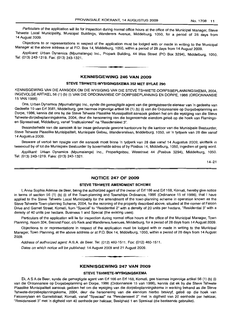Particulars of the application will lie for inspection during normal office hours at the office of the Municipal Manager, Steve Tshwete Local Municipality, Municipal Buildings, Wanderers Avenue, Middelburg, 1050, for a period of 28 days from 14 August 2009.

Objections to or representations in respect of the application must be lodged with or made in writing to the Municipal Manager at the above address or at P.O. Box 14, Middelburg, 1050, within a period of 28 days from 14 August 2009.

Applicant: Urban Dynamics (Mpumalanga) Inc., Propark Building, 44 Wes Street (PO Box 3294), Middelburg, 1050. Tel: (013) 243-1219. Fax: (013) 243-1321.

## **KENNISGEWING 246 VAN 2009**

**•**

#### **STEVE TSHWETE-WYSIGINGSKEMA 352 MET BYLAE 290**

KENNISGEWING VAN DIE AANSOEK OM DIE WYSIGING VAN DIE STEVE TSHWETE-DORPSBEPLANNINGSKEMA, 2004, INGEVOLGE ARTIKEL 56 (1) (b) (i) VAN DIE ORDONNANSIE OP DORPSBEPLANNING EN DORPE, 1986 (ORDONNANSIE 15 VAN 1986)

Ons, Urban Dynamics (Mpumalanga) Inc., synde die gemagtigde agent van die geregistreerde eienaar van 'n gedeelte van Gedeelte 10 van Erf 3581, Middelburg, gee hiermee ingevolge artikel 56 (1) (b) (i) van die Ordonnansie op Dorpsbeplanning en Dorpe, 1986, kennis dat ons by die Steve Tshwete Plaaslike Munisipaliteit aansoek gedoen het om die wysiging van die Steve Tshwete-dorpsbeplanningskema, 2004, deur die hersonering van die bogenoemde eiendom geleë op die hoek van Flamingoen Sipresstraat, Middelburg, vanaf "Institusioneel" na "Residensieel 3".

Besonderhede van die aansoek lê ter insae gedurende gewone kantoorure by die kantoor van die Munisipale Bestuurder, Steve Tshwete Plaaslike Munisipaliteit, Munisipale Gebou, Wandererslaan, Middelburg, 1050, vir 'n tydperk van 28 dae vanaf 14 Augustus 2009.

Besware of vertoë ten opsigte van die aansoek moet binne 'n tydperk van 28 dae vanaf 14 Augustus 2009, skriftelik in tweevoud by of tot die Munisipale Bestuurder by bovermelde adres of by Posbus 14, Middelburg, 1050, ingedien of gerig word.

Applikant: Urban Dynamics (Mpumalanga) Inc., Proparkgebou, Wesstraat 44 (Posbus 3294), Middelburg, 1050. Tel: (013) 243-1219. Faks: (013) 243-1321.

14-21

### **NOTICE 247 OF 2009**

#### **STEVE TSHWETE AMENDMENT SCHEME**

I, Anna Sophia Adeline de Beer, being the authorized agent of the owner of Erf 166 and Erf 168, Komati, hereby give notice in terms of section 56 (1) (b) (i) of the Town-planning and Townships Ordinance, 1986 (Ordinance 15 of 1986), that I have applied to the Steve Tshwete Local Municipality for the amendment of the town-planning scheme in operation known as the Steve Tshwete Town-planning Scheme, 2004, for the rezoning of the property described above, situated at the corner of Falcon Drive and Garnet Street, Komati, from "Special" to "Residential 2" with a density of 20 units per hectare, "Residential 3" with a density of 40 units per hectare, Business 1 and Special (the existing uses).

Particulars of the application will lie for inspection during normal office hours at the office of the Municipal Manager, Town Planning, Room 334, Second Floor, c/o Kerk and Wanderers Avenues, Middelburg, for a period of 28 days from 14 August 2009.

Objections to or representations in respect of the application must be lodged with or made in writing to the Municipal Manager, Town Planning, at the above address or at P.O. Box 14, Middelburg, 1050, within a period of 28 days from 14 August 2009.

Address of authorized agent: A.SA de Beer. Tel: (012) 460-1511. Fax: (012) 460-1511.

Dates on which notice will be published: 14 August 2009 and 21 August 2009.

## **KENNISGEWING 247 VAN 2009**

**• •**

## **STEVE TSHWETE-WYSIGINGSKEMA**

Ek, A S A de Beer, synde die gemagtigde agent van Erf 166 en Erf 168, Komati, gee hiermee ingevolge artikel 56 (1) (b) (i) van die Ordonnansie op Dorpsbeplanning en Dorpe, 1986 (Ordonnansie 15 van 1986), kennis dat ek by die Steve Tshwete Plaaslike Munisipaliteit aansoek gedoen het om die wysiging van die dorpsbeplanningskema in werking bekend as die Steve Tshwete-dorpsbeplanningskema, 2004, deur die hersonering van die eiendom hierbo beskryf, gelee op die hoek van Falconrylaan en Garnetstraat, Komati, vanaf "Spesiaal" na "Residensieel 2" met 'n digtheid van 20 eenhede per hektaar, "Residensieel 3" met 'n digtheid van 40 eenhede per hektaar, Besigheid 1 en Spesiaal (die bestaande gebruike).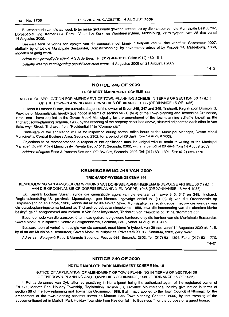Besonderhede van die aansoek lê ter insae gedurende gewone kantoorure by die kantoor van die Munisipale Bestuurder, Dorpsbeplanning, Kamer 334, Eerste Vloer, h/v Kerk- en Wanderersrylaan, Middelburg, vir 'n tydperk van 28 dae vanaf 14 Augustus 2009.

Besware teen of vertoë ten opsigte van die aansoek moet binne 'n tydperk van 28 dae vanaf 12 September 2007, skriftelik by of tot die Munisipale Bestuurder, Dorpsbeplanning, by bovermelde adres of by Posbus 14, Middelburg, 1050, ingedien of gerig word.

Adres van gemagtigde agent: A S A de Beer. Tel: (012) 460-1511. Faks: (012) 460-1511.

Datums waarop kennisgewing gepubliseer moet word: 14 Augustus 2009 en 21 Augustus 2009.

 $14 - 21$ 

## **NOTICE 248 OF 2009**

#### **TRICHARDT AMENDMENT SCHEME** 144

NOTICE OF APPLICATION FOR AMENDMENT OF TOWN-PLANNING SCHEME IN TERMS OF SECTION 56 (1) (b) (i) OF THE TOWN-PLANNING AND TOWNSHIPS ORDINANCE, 1986 (ORDINANCE 15 OF 1986)

I, Hendrik Lochner Susan, the authorised agent of the owner of Erven 345, 347 and 349, Trichardt, Registration Division IS, Province of Mpumalanga, hereby give notice in terms of section 56 (1) (b) (i) of the Town-planning and Townships Ordinance, 1986, that I have applied to the Govan Mbeki Municipality for the amendment of the town-planning scheme known as the Trichardt Town-planning Scheme, 1988, by the rezoning of the property described above, situated adjacent to each other in Van Schalkwyk Street, Trichardt, from "Residential 1" to "Commercial".

Particulars of the application will lie for inspection during normal office hours at the Municipal Manager, Govan Mbeki Municipality, Central Business Area, Secunda, 2302, for a period of 28 days from 14 August 2009.

Objections to or representations in respect of the application must be lodged with or made in writing to the Municipal Manager, Govan Mbeki Municipality, Private Bag X1017, Secunda, 2302, within a period of 28 days from 14 August 2009.

Address of agent: Reed & Partners Secunda, PO Box 985, Secunda, 2302. Tel: (017) 631-1394. Fax: (017) 631-1770.

## **KENNISGEWING 248 VAN 2009**

**•**

#### **TRICHARDT-WYSIGINGSKEMA** 144

KENNISGEWING VAN AANSOEK OM WYSIGING VAN DORPSBEPLANNINGSKEMA INGEVOLGE ARTIKEL 56 (1) (b) (i) VAN DIE ORDONNANSIE OP DORPSBEPLANNING EN DORPE, 1986 (ORDONNANSIE 15 VAN 1986)

Ek, Hendrik Lochner Susan, synde die gemagtigde agent van die eienaar van Erwe 345, 347 en 349, Trichardt, Registrasieafdeling IS, provinsie Mpumalanga, gee hiermee ingevolge artikel 56 (1) (b) (i) van die Ordonnansie op Dorpsbeplanning en Dorpe, 1986, kennis dat ek by die Govan Mbeki Munisipaliteit aansoek gedoen het om die wysiging van die dorpsbeplanningskema bekend as Trichardt-dorpsbeplanningskema, 1988, deur die hersonering van die eiendom hierbo beskryf, geleë aangrensend aan mekaar in Van Schalkwykstraat, Trichardt, van "Residensieel 1" na "Kommersieel".

Besonderhede van die aansoek lê ter insae gedurende gewone kantoorure by die kantoor van die Munisipale Bestuurder, Govan Mbeki Munisipaliteit, Sentrale Besigheidsarea, Secunda, 2302, vanaf 14 Augustus 2009.

Besware teen of vertoe ten opsigte van die aansoek moet binne 'n tydperk van 28 dae vanaf 14 Augustus 2009 skriftelik by of tot die Munisipale Bestuurder, Govan Mbeki Munisipaliteit, Privaatsak X1017, Secunda, 2302, gerig word.

Adres van die agent: Reed & Vennote Secunda, Posbus 985, Secunda, 2302. Tel: (017) 631-1394. Faks: (017) 631-1770.

 $14 - 21$ 

#### **NOTICE 249 OF 2009**

#### **NOTICE MARLOTH PARK AMENDMENT SCHEME No. 10**

NOTICE OF APPLICATION OF AMENDMENT OF TOWN-PLANNING IN TERMS OF SECTION 56 OF THE TOWN-PLANNING AND TOWNSHIPS ORDINANCE, 1986 (ORDINANCE 15 OF 1986)

I, Petrus Johannes van Dyk, attorney practicing in Komatipoort being the authorized agent of the registered owner of Ert 171, Marloth Park Holiday Township, Registration Division JU, Province Mpumalanga, hereby give notice in terms of section 56 of the Town-planning and Townships Ordinance, 1986, that I have applied to the Town Council of Nkomazi for the amendment of the town-planning scheme known as Marloth Park Town-planning Scheme, 2000, by the rezoning of the abovementioned ert in Marloth Park Holiday Township from Residential 1 to Business 1 for the purpose of a guest house.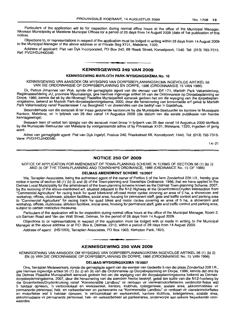Particulars of the application will lie for inspection during normal office hours at the office of the Municipal Manager, Nkomazi Municipality at Malelane Municipal Offices for a period of 28 days from 14 August 2009 (date of 1st publication of this notice),

Obiections to, or representations in respect of the application must be lodged in writing within 28 days from 14 August 2009 to the Municipal Manager of the above address or at Private Bag X101, Malelane, 1320.

Address of applicant: Piet van Dyk Incorporated, PO Box 240, 69 Rissik Street, Komatipoort, 1340. Tel: (013) 793-7315. Ref: PVD/HDJ/H00585.

## KENNISGEWING 249 VAN 2009

**• •**

## KENNISGEWING MARLOTH PARK-WYSIGINGSKEMA No. 10

KENNISGEWING VAN AANSOEK OM WYSIGING VAN DORPSBEPLANNINGSKEMA INGEVOLGE ARTIKEL 56 VAN DIE ORDONNANSIE OP DORPSBEPLANNING EN DORPE, 1986 (ORDONNANSIE 15 VAN 1986)

Ek, Petrus Johannes van Wyk, synde die gemagtigde agent van die eienaar van Ert 171, Marloth Park Vakansiedorp, Registrasieafdeling JU, provinsie Mpumalanga, gee hiermee ingevolge artikel 56 van die Ordonnansie op Dorpsbeplanning en Dorpe, 1986, kennis dat ek by die Nkomazi Plaaslike Munisipaliteit aansoek gedoen het om die wysiging van die dorpsbeplanningskema, bekend as Marloth Park-dorpsbeplanningskema, 2000, deur die hersonering van bovermelde erf geleë te Marloth Park Vakansiedorp vanaf Residensieel 1 na Besigheid 1 vir doeleindes van die bedryf van 'n Gastehuis.

Besonderhede van die aansoek Ie ter insae gedurende kantoorure by die Munisipale Bestuurder se kantore te Munisipale Kantore, Malelane, vir 'n tydperk van 28 dae vanaf 14 Augustus 2009 (die datum van die eerste publikasie van hierdie kennisgewings).

Besware teen of vertoë ten opsigte van die aansoek moet binne 'n tydperk van 28 dae vanaf 14 Augustus 2009 skriftelik by die Munisipale Bestuurder van Malelane by voorgenoemde adres of by Privaatsak Xl 01, Malelane, 1320, ingedien of gerig word.

Adres van gemagtigde agent: Piet van Dyk Ingelyf, Posbus 240, Rissikstraat 69, Komatipoort, 1340. Tel: (013) 793-7315. Verw: PVD/HDJ/H00585.

14-21

#### NOTICE 250 OF 2009

NOTICE OF APPLICATION FOR AMENDMENT OF TOWN-PLANNING SCHEME IN TERMS OF SECTION 56 (1) (b) (i) AND (ii) OF THE TOWN-PLANNING AND TOWNSHIPS ORDINANCE, 1986 (ORDINANCE No. 15 OF 1986)

#### DELMAS AMENDMENT SCHEME 19/2007

We, Terraplan Associates, being the authorised agent of the owner of Portion 5 of the farm Zondertout 226 I.R., hereby give notice in terms of section 56 (1) (b) (i) and (ii) of the Town-planning and Townships Ordinance, 1986, that we have applied to the Delmas Local Municipality for the amendment of the town-planning scheme known as the Delmas Town-planning Scheme, 2007, by the rezoning of the above-mentioned ert, situated adjacent to the N12 Highway at the Groenfontein/Dryden intersection from "Commercial Agriculture" for racing track for quad bikes/and off-road motor cycles covering an area of 5 ha, a showroom and workshop, offices, clubhouse, ablution facilities, social area, housing for permanent staff, gate and traffic control and parking area to "Commercial Agriculture" for racing track for quad bikes and motor cycles covering an area of 5 ha, a showroom and workshop, offices, clubhouse, ablution facilities, social area, housing for permanent staff, gate and traffic control and parking area, subject to certain restrictive measures.

Particulars of the application will lie for inspection during normal office hours at the office of the Municipal Manager, Room 2, c/o Samuel Road and Van der Walt Street, Delmas, for the period of 28 days from 14 August 2009.

Objections to or representations in respect of the application must be lodged with or made in writing to the Municipal Manager at the above address or at P.O. Box 6, Delmas, 2210, within a period of 28 days from 14 August 2009.

Address of agent: (HS1563), Terraplan Associates, PO Box 1903, Kempton Park, 1620.

# **• •** KENNISGEWING 250 VAN 2009

KENNISGEWING VAN AANSOEK OM WYSIGING VAN DORPSBEPLANNINGSKEMA INGEVOLGE ARTIKEL 56 (1) (b) (i) EN (ii) VAN DIE ORDONNANSIE OP DORPSBEPLANNING EN DORPE, 1986 (ORDONNANSIE No. 15 VAN 1986)

#### DELMAS-WYSIGINGSKEMA 19/2007

Ons, Terraplan Medewerkers, synde die gemagtigde agent van die eienaar van Gedeelte 5 van die plaas Zondertout 226 I.R., gee hiermee ingevolge artikel 56 (1) (b) (i) en (ii) van die Ordonnansie op Dorpsbeplanning en Dorpe, 1986, kennis dat ons by die Delmas Plaaslike Munisipaliteit aansoek gedoen het om die wysiging van die dorpsbeplanningskema bekend as Delmasdorpsbeplanningskema, 2007, deur die hersonering van die eiendom hierbo beskryf, gelee ten suide van die N12-hoofweg by die Groenfontein/Drydenkruising vanaf "Kommersiële Landbou" vir renbaan vir vierwielmotorfietse/en veldmotor-fietse wat 5 hektaar opneem, 'n vertoonlokaal en werkswinkel, kantore, klubhuis, toiletgeriewe, sosiale area, akkommodasie vir permanente personeel, hek- en verkeerbeheer en parkeerarea na "Kommersiële Landbou" vir renbaan vir vierwielmotorfietse en motorfietse wat 5 hektaar opneem, 'n vertoonlokaal en werkswinkel, kantore klubhuis, toiletgeriewe, sosiale area, akkommodasie vir permanente personeel, hek- en verkeerbeheer en parkeerarea, onderworpe aan sekere beperkende voorwaardes.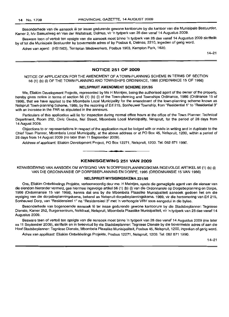Besonderhede van die aansoek lê ter insae gedurende gewone kantoorure by die kantoor van die Munisipale Bestuurder, Kamer 2, h/v Samuelweg en Van der Waltstraat, Delmas, vir 'n tydperk van 28 dae vanaf 14 Augustus 2009.

Besware teen of vertoë ten opsigte van die aansoek moet binne 'n tydperk van 28 dae vanaf 14 Augustus 2009 skriftelik by of tot die Munisipale Bestuurder by bovermelde adres of by Posbus 6, Delmas, 2210, ingedien of gerig word.

Adres van agent: (HS1563), Terraplan Medewerkers, Posbus 1903, Kempton Park, 1620.

14-21

#### **NOTICE 251 OF 2009**

NOTICE OF APPLICATION FOR THE AMENDMENT OF A TOWN-PLANNING SCHEME IN TERMS OF SECTION 56 (1) (b) (i) OF THE TOWN-PLANNING AND TOWNSHIPS ORDINANCE, 1986 (ORDINANCE 15 OF 1986)

#### **NELSPRUIT AMENDMENT SCHEME** 231/95

We, Eliakim Development Projects, represented by Ms H Meintjes, being the authorised agent of the owner of the property, hereby gives notice in terms of section 56 (1) (b) (i) of the Town-planning and Townships Ordinance, 1986 (Ordinance 15 of 1986), that we have applied to the Mbombela Local Municipality for the amendment of the town-planning scheme known as Nelspruit Town-planning Scheme, 1989, by the rezoning of Erf 215, Sonheuwel Township, from "Residential 1" to "Residential 3" with an increase in the FAR as stipulated in the annexure.

Particulars of this application will lie for inspection during normal office hours at the office of the Town Planner: Technical Department, Room 252, Civic Centre, Nel Street, Mbombela Local Municipality, Nelspruit, for the period of 28 days from 14 August 2009.

Objections to or representations in respect of the application must be lodged with or made in writing and in duplicate to the Chief Town Planner, Mbombela Local Municipality, at the above address or at PO Box 45, Nelspruit, 1200, within a period of 28 days from 14 August 2009 (no later than 11 September 2009).

Address of applicant: Eliakim Development Project, PO Box 12271, Nelspruit, 1200. Tel: 082 871 1990.

## **KENNISGEWING 251 VAN 2009**

**• I**

KENNISGEWING VAN AANSOEK OM WYSIGING VAN 'N DORPSBEPLANNINGSKEMA INGEVOLGE ARTIKEL 56 (1) (b) (i) VAN DIE ORDONNANSIE OP DORPSBEPLANNING EN DORPE, 1995 (ORDONNANSIE 15 VAN 1986)

#### **NELSPRUIT-WYSIGINGSKEMA** 231/95

Ons, Eliakim Ontwikkelings Projekte, verteenwoordig deur me. H Meintjes, synde die gemagtigde agent van die eienaar van die eiendom hieronder vermeld, gee hiermee ingevolge artikel 56 (1) (b) (i) van die Ordonnansie op Dorpsbeplanning en Dorpe, 1986 (Ordonnansie 15 van 1986), kennis dat ons by die Mbombela Plaaslike Munisipaliteit aansoek gedoen het om die wysiging van die dorpsbeplanningskema, bekend as Nelspruit-dorpsbeplanningskema, 1989, vir die hersonering van Erf 215, Sonheuwel Dorp, van "Residensieel 1" na "Residensieel 3" met 'n verhoogde VRV soos aangedui in die bylae.

Besonderhede van bogenoemde aansoek Ie ter insae gedurende gewone kantoorure by die Stadsbeplanner: Tegniese Dienste, Kamer 252, Burgersentrum, Nelstraat, Nelspruit, Mbombela Plaaslike Munisipaliteit, vir 'n tydperk van 28 dae vanaf 14 Augustus 2009.

Besware teen of vertoë ten opsigte van die aansoek moet binne 'n tydperk van 28 dae vanaf 14 Augustus 2009 (nie later as 11 September 2009), skriftelik en in tweevoud by die Stadsbeplanner: Tegniese Dienste by die bovermelde adres of aan die Hoof Stadsbeplanner: Tegniese Dienste, Mbombela Plaaslike Munisipaliteit, Posbus 45, Nelspruit, 1200, ingedien of gerig word.

Adres van applikant: Eliakim Ontwikkelings Projekte, Posbus 12271, Nelspruit, 1200. Tel: 082 871 1990.

14-21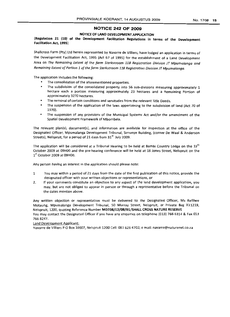## NOTICE 242 OF 2009

## NOTICE OF LAND DEVELOPMENT APPLICATION

(Regulation 21 (10) of the Development Facilitation Regulations in terms of the Development Facilitation Act, 1995)

Shallcross Farm (Pty) Ltd herein represented by Navarre de Villiers, have lodged an application in terms of the Development Facilitation Act, 1995 (Act 67 of 1995) for the establishment of a Land Development Area on *The Remaining Extent of the farm Sterkstraom* 118 *Reqistration Division JT Mpumalanga and Remaining Extent of Portion 1 ofthe farm Sterkstraom* 118 *Registration DivisionJT Mpumalanga.*

The application includes the following:

- The consolidation of the aforementioned properties.
- The subdivision of the consolidated property into 56 sub-divisions measuring approximately 1 hectare each a portion measuring approximately 23 hectares and a Remaining Portion of approximately 3270 hectares.
- $\bullet$ The removal of certain conditions and servitudes from the relevant Title Deeds.
- The suspension of the application of the laws appertaining to the subdivision of land (Act 70 of 1970).
- The suspension of any provisions of the Municipal Systems Act and/or the amendment of the Spatial Development Framework of Mbombela.

The relevant plan(s), document(s), and information are available for inspection at the office of the Designated Officer, Mpumalanga Development Tribunal, Simunye Building, (corner De Waal & Anderson Streets), Nelspruit, for a period of 21 days from 31<sup>st</sup> July 2009.

The application will be considered at a Tribunal Hearing to be held at Bambi Country Lodge on the  $15<sup>th</sup>$ October 2009 at 09HOO and the pre-hearing conference will be held at 18 Jones Street, Nelspruit on the  $1<sup>st</sup>$  October 2009 at 09H00.

Any person having an interest in the application should please note:

- 1 You may within a period of 21 days from the date of the first publication of this notice, provide the designated officer with your written objections or representations, or
- 2. If your comments constitute an objection to any aspect of the land development application, you may, but are not obliged to appear in person or through a representative before the Tribunal on the dates mention above.

Any written objection or representation must be delivered to the Designated Officer, Ms Refilwe Motaung, Mpumalanga Development Tribunal, 50 Murray Street, Nelspruit, or Private Bag X11219, Nelspruit, 1200/ quoting Reference Number MDT08/12/08/01/SHALL CROSS NATURE RESERVE You may contact the Designated Officer if you have any enquiries on telephone (013) 766 6314 & Fax 013 7668247.

Land Development Applicant:

Navarre de Villiers POBox 10007, Nelspruit 1200 Cell: 083 6264702; email: navarre@naturenet.co.za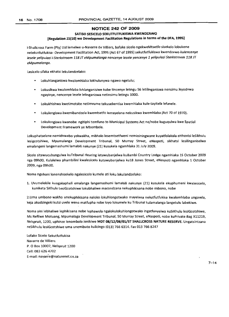#### **NOTICE 242 OF 2009**

## SATISO SESICELO SEKUTFUTFUKISWA KWENDZAWO [Regulation 21(10) we Development Facilitation Regulations in terms of the DFA, 1995]

i-Shallcross Farm (Pty) Ltd lemelwe u-Navarre de Villiers, bafake sicelo ngekweMtsetfo sisekelo lobukene netekutfutfukisa -Development Facilitation Act, 1995 (Act 67 of 1995) sekutfutfukiswa kwendzawo kulencenye lesele yelipulazi i-Sterkstroom 118 JT eMpumalanga nencenye lesele yencenye 1 yelipulazi Sterkstroom 118 JT eMpumalanga.

Lesicelo sifaka ekhatsi lekulandzelako:

- Lokuhlanganiswa kwalomhlaba lokhulunywa ngawo ngetulu;
- Lokusikwa kwalomhlaba lohlanganisiwe kube tincenye letingu 56 letilinganiswa nensimu leyodvwa ngayinye, nencenye lesele lelinganiswa netinsimu letingu 3300.
- Lokukhishwa kwetimotsite netimvume tekusebentisa kwemhlaba kule-tayitela lefanefe.
- Lokulengiswa kwemibandzela kwemtsetfo lemayelana nekusikwa kwemhlaba (Act 70 of 1970).
- Lokulengiswa kwanobe ngitiphi temfuno te-Municipal Systems Act ne/nobe kuguqulwa kwe Spatial Development Framework ye Mbombela.

Lokuphatselene nemidvwebo yekwakha, mibhalo lesemtsetfweni nemininingwane kuyatfolakala eHhovisi leSikhulu lesigcotshiwe, Mpumalanga Development Tribunal, 50 Murray Street, eNaspoti, sikhatsi lesilinganiselwa emalangeni langemashumi lamabili nakunye (21) kusukela ngamhlaka 31 July 2009.

Sicelo sitawucubungulwa kuTribunal Hearing letawubanjelwa kuBambi Country Lodge ngamhlaka 15 October 2009 nga 09hOO, Kulalelwa phambilini kwalesicelo kutawubanjelwa ku18 Jones Street, eNaspoti ngamhlaka 1 October 2009, nga 09hOO.

Noma ngubani lonenshisekelo ngalesicelo kumele ati loku lokulandzelako:

1. Uvumelekile kungakapheli emalanga langemashumi lamabili nakunye (21) kusukela ekuphumeni kwalesicelo, kuniketa SiKhulu LesiGcotshiwe lokubhaliwe macondzana nekuphikisana nobe mibono, nobe

2.Uma umbono wakho unekuphikisana naloko lokuhlongotwako mayelana nekutfutfukisa kwalomhlaba ungavela, keja akudzingeki kutsi uvele wena matfupha nobe love lokumele ku Tribunal kulamalanga langetulu labekiwe.

Noma yini lebhaliwe lephikisana nobe lephawula ngalokulokuhlongotwako ingatfunyelwa kUSiKhulu lesiGcotshiwe, Ms Refilwe Motuang, Mpumalaga Development Tribunal, 50 Murray Street, eNaspoti, nobe kuPrivate Bag X11219, Nelspruit, 1200, uphinze lenornbolo lenikiwe MDT 08/12/08/01/ST SHALLCROSS NATURE RESERVE. Ungatsintzana neSikhulu lesiGcotshiwe uma unemibuto kulicingo (013) 766 6314. Fax013 7668247

Lofake Sicelo Sekutfutfukisa Navarre de Villiers P. 0 Box 10007, Nelspruit 1200 Cell: 083 626 4702 E-mail: navarre@naturenet.co.za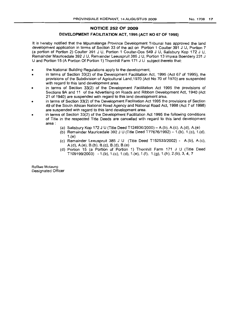## **NOTICE 252 OF 2009**

## **DEVELOPMENT FACILITATION ACT, 1995 (ACT NO 67 OF 1995)**

It is hereby notified that the Mpumalanga Province Development Tribunal has approved the land development application in terms of Section 33 of the act on Portion 1 Coulter 391 J U, Portion 7 (a portion of Portion 2) Coulter 391 J U, Portion 1 Coulter-Dos 549 J U, Salisbury Kop 172 J U, Remainder Mauricedale 392 J U, Remainder Leeuspruit 385 J U, Portion 13 Impala Boerdery 231 J U and Portion 15 (A Portion Of Portion 1) Thornhill Farm 171 J U subject thereto that:

- the National Building Regulations apply to the development,
- in terms of Section 33(2) of the Development Facilitation Act, 1995 (Act 67 of 1995), the provisions of the Subdivision of Agricultural Land, 1970 (Act No 70 of 1970) are suspended with regard to this land development area.
- in terms of Section 33(2) of the Development Facilitation Act 1995 the provisions of Sections 9A and 11 of the Advertising on Roads and Ribbon Development Act, 1940 (Act 21 of 1940) are suspended with regard to this land development area.
- in terms of Section 33(2) of the Development Facilitation Act 1995 the provisions of Section 49 of the South African National Road Agency and National Road Act, 1998 (Act 7 of 1998) are suspended with regard to this land development area.
- in terms of Section 33(2) of the Development Facilitation Act 1995 the following conditions of Title in the respected Title Deeds are cancelled with regard to this land development area:
	- (a) Salisbury Kop 172 J U (Title Deed T124936/2000) A.(b), A.(c), A.(d), A.(e)
	- (b) Remainder Mauricedale 392 J U (Title Deed T77676/1992) -1.(b), 1.(c), 1.(d), 1.(e)
	- (c) Remainder Leeuspruit 385 J U (Title Deed T152533/2002) A.(b), A.(c), A.(d), A.(e), B.(b), B.(c), B.(d), B.(e)
	- (d) Portion 15 (a Portion of Portion 1) Thornhill Farm 171 J U (Title Deed T109199/2003) - 1.(b), 1.(c), 1.(d), 1.(e), 1.(f), 1.(g), 1.(h), 2.(b), 3, 4, 7

Refilwe Motaung Designated Officer